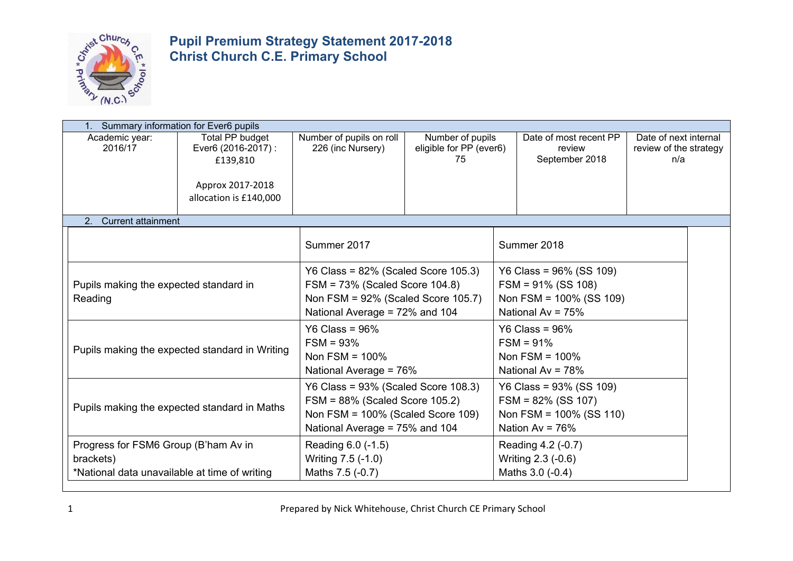

|                                                                                                    | Summary information for Ever6 pupils       |                                                                                                         |                                                                                                                                                        |                                                   |                                                                                                        |                                                                                                          |                                                        |  |
|----------------------------------------------------------------------------------------------------|--------------------------------------------|---------------------------------------------------------------------------------------------------------|--------------------------------------------------------------------------------------------------------------------------------------------------------|---------------------------------------------------|--------------------------------------------------------------------------------------------------------|----------------------------------------------------------------------------------------------------------|--------------------------------------------------------|--|
|                                                                                                    | Academic year:<br>2016/17                  | <b>Total PP budget</b><br>Ever6 (2016-2017) :<br>£139,810<br>Approx 2017-2018<br>allocation is £140,000 | Number of pupils on roll<br>226 (inc Nursery)                                                                                                          | Number of pupils<br>eligible for PP (ever6)<br>75 |                                                                                                        | Date of most recent PP<br>review<br>September 2018                                                       | Date of next internal<br>review of the strategy<br>n/a |  |
|                                                                                                    | <b>Current attainment</b><br>$\mathcal{P}$ |                                                                                                         |                                                                                                                                                        |                                                   |                                                                                                        |                                                                                                          |                                                        |  |
|                                                                                                    |                                            |                                                                                                         | Summer 2017                                                                                                                                            |                                                   |                                                                                                        | Summer 2018                                                                                              |                                                        |  |
| Pupils making the expected standard in<br>Reading                                                  |                                            |                                                                                                         | Y6 Class = $82\%$ (Scaled Score 105.3)<br>$FSM = 73\%$ (Scaled Score 104.8)<br>Non $FSM = 92\%$ (Scaled Score 105.7)<br>National Average = 72% and 104 |                                                   |                                                                                                        | Y6 Class = $96\%$ (SS 109)<br>$FSM = 91\% (SS 108)$<br>Non FSM = $100\%$ (SS 109)<br>National Av = $75%$ |                                                        |  |
| Pupils making the expected standard in Writing                                                     |                                            |                                                                                                         | Y6 Class = $96\%$<br>$FSM = 93%$<br>Non FSM = $100\%$<br>National Average = 76%                                                                        |                                                   |                                                                                                        | Y6 Class = $96\%$<br>$FSM = 91%$<br>Non FSM = $100\%$<br>National Av = $78%$                             |                                                        |  |
| Pupils making the expected standard in Maths                                                       |                                            |                                                                                                         | Y6 Class = $93\%$ (Scaled Score 108.3)<br>FSM = 88% (Scaled Score 105.2)<br>Non $FSM = 100\%$ (Scaled Score 109)<br>National Average = 75% and 104     |                                                   | Y6 Class = $93\%$ (SS 109)<br>$FSM = 82\%$ (SS 107)<br>Non FSM = $100\%$ (SS 110)<br>Nation $Av = 76%$ |                                                                                                          |                                                        |  |
| Progress for FSM6 Group (B'ham Av in<br>brackets)<br>*National data unavailable at time of writing |                                            |                                                                                                         | Reading 6.0 (-1.5)<br>Reading 4.2 (-0.7)<br>Writing 7.5 (-1.0)<br>Writing 2.3 (-0.6)<br>Maths 3.0 (-0.4)<br>Maths 7.5 (-0.7)                           |                                                   |                                                                                                        |                                                                                                          |                                                        |  |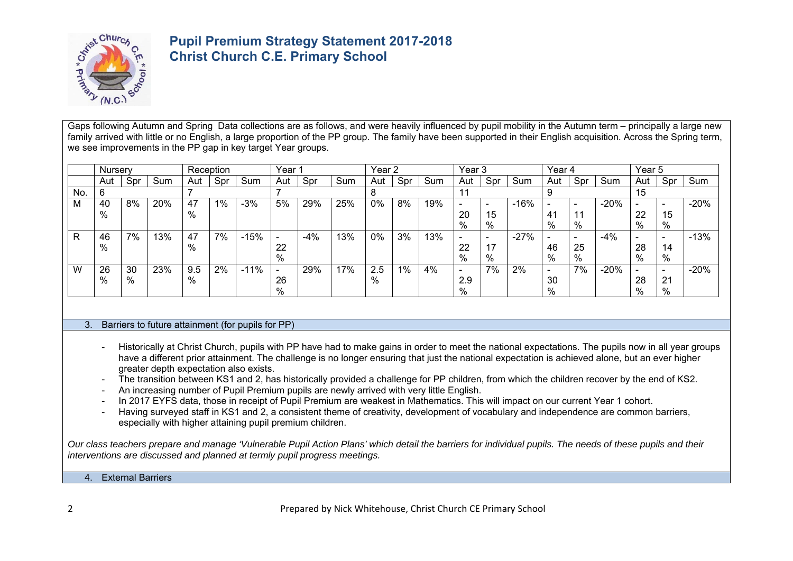

Gaps following Autumn and Spring Data collections are as follows, and were heavily influenced by pupil mobility in the Autumn term – principally a large new family arrived with little or no English, a large proportion of the PP group. The family have been supported in their English acquisition. Across the Spring term, we see improvements in the PP gap in key target Year groups.

|           | <b>Nurserv</b> |      |     |      | Reception |        | Year⊹                    |       |     | Year <sub>2</sub> |       |     | Year 3                   |      |        | Year 4 |     |        | Year 5                   |                          |        |
|-----------|----------------|------|-----|------|-----------|--------|--------------------------|-------|-----|-------------------|-------|-----|--------------------------|------|--------|--------|-----|--------|--------------------------|--------------------------|--------|
|           | Aut            | Spr  | Sum | Aut  | Spr       | Sum    | Aut                      | Spr   | Sum | Aut               | Spr   | Sum | Aut                      | Spr  | Sum    | Aut    | Spr | Sum    | Aut                      | Spr                      | Sum    |
| No.       |                |      |     |      |           |        |                          |       |     |                   |       |     |                          |      |        |        |     |        | 15                       |                          |        |
| <b>IV</b> | 40             | 8%   | 20% | 47   | $1\%$     | $-3%$  | 5%                       | 29%   | 25% | 0%                | 8%    | 19% | -                        |      | $-16%$ |        |     | $-20%$ | -                        |                          | $-20%$ |
|           | %              |      |     | $\%$ |           |        |                          |       |     |                   |       |     | 20                       | 15   |        | 41     |     |        | 22                       | 15                       |        |
|           |                |      |     |      |           |        |                          |       |     |                   |       |     | %                        | %    |        | %      | %   |        | %                        | %                        |        |
|           | 46             | 7%   | 3%  | -47  | 7%        | $-15%$ | $\overline{\phantom{a}}$ | $-4%$ | 13% | $0\%$             | 3%    | 13% | $\overline{\phantom{0}}$ |      | $-27%$ | -      | -   | $-4\%$ | $\overline{\phantom{0}}$ |                          | $-13%$ |
|           | %              |      |     | %    |           |        | 22                       |       |     |                   |       |     | 22                       | 17   |        | 46     | 25  |        | 28                       | 14                       |        |
|           |                |      |     |      |           |        | %                        |       |     |                   |       |     | %                        | $\%$ |        | %      | %   |        | %                        | %                        |        |
| W         | 26             | 30   | 23% | 9.5  | 2%        | $-11%$ | $\overline{\phantom{a}}$ | 29%   | 17% | 2.5               | $1\%$ | 4%  | $\overline{\phantom{0}}$ | 7%   | 2%     | -      | 7%  | $-20%$ | $\overline{\phantom{a}}$ | $\overline{\phantom{a}}$ | $-20%$ |
|           | %              | $\%$ |     | %    |           |        | 26                       |       |     | %                 |       |     | 2.9                      |      |        | 30     |     |        | 28                       | 21                       |        |
|           |                |      |     |      |           |        | %                        |       |     |                   |       |     | %                        |      |        | $\%$   |     |        | $\%$                     | $\%$                     |        |

#### 3. Barriers to future attainment (for pupils for PP)

- Historically at Christ Church, pupils with PP have had to make gains in order to meet the national expectations. The pupils now in all year groups have a different prior attainment. The challenge is no longer ensuring that just the national expectation is achieved alone, but an ever higher greater depth expectation also exists.
- The transition between KS1 and 2, has historically provided a challenge for PP children, from which the children recover by the end of KS2.
- An increasing number of Pupil Premium pupils are newly arrived with very little English.
- In 2017 EYFS data, those in receipt of Pupil Premium are weakest in Mathematics. This will impact on our current Year 1 cohort.
- Having surveyed staff in KS1 and 2, a consistent theme of creativity, development of vocabulary and independence are common barriers, especially with higher attaining pupil premium children.

*Our class teachers prepare and manage 'Vulnerable Pupil Action Plans' which detail the barriers for individual pupils. The needs of these pupils and their interventions are discussed and planned at termly pupil progress meetings.* 

4. External Barriers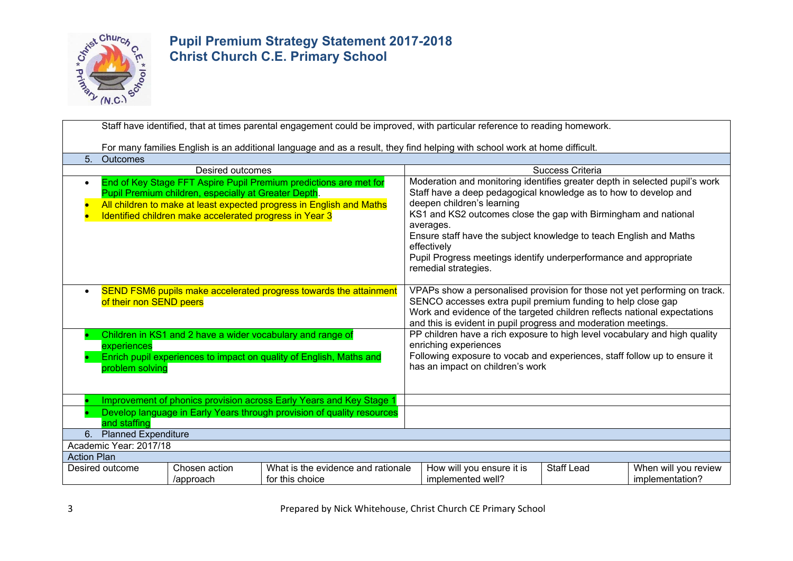

|                                                                                                                                                                                                                                                                                        | Staff have identified, that at times parental engagement could be improved, with particular reference to reading homework. |                  |                                                                   |                                                                                                                                                                                                                                                                                           |                                                                                                                                                                                                                                                                                                                                                                                                                                                 |                                         |  |  |  |  |
|----------------------------------------------------------------------------------------------------------------------------------------------------------------------------------------------------------------------------------------------------------------------------------------|----------------------------------------------------------------------------------------------------------------------------|------------------|-------------------------------------------------------------------|-------------------------------------------------------------------------------------------------------------------------------------------------------------------------------------------------------------------------------------------------------------------------------------------|-------------------------------------------------------------------------------------------------------------------------------------------------------------------------------------------------------------------------------------------------------------------------------------------------------------------------------------------------------------------------------------------------------------------------------------------------|-----------------------------------------|--|--|--|--|
|                                                                                                                                                                                                                                                                                        | For many families English is an additional language and as a result, they find helping with school work at home difficult. |                  |                                                                   |                                                                                                                                                                                                                                                                                           |                                                                                                                                                                                                                                                                                                                                                                                                                                                 |                                         |  |  |  |  |
| 5.                                                                                                                                                                                                                                                                                     | <b>Outcomes</b>                                                                                                            |                  |                                                                   |                                                                                                                                                                                                                                                                                           |                                                                                                                                                                                                                                                                                                                                                                                                                                                 |                                         |  |  |  |  |
|                                                                                                                                                                                                                                                                                        |                                                                                                                            | Desired outcomes |                                                                   | Success Criteria                                                                                                                                                                                                                                                                          |                                                                                                                                                                                                                                                                                                                                                                                                                                                 |                                         |  |  |  |  |
| End of Key Stage FFT Aspire Pupil Premium predictions are met for<br>$\bullet$<br>Pupil Premium children, especially at Greater Depth.<br>All children to make at least expected progress in English and Maths<br>$\bullet$<br>Identified children make accelerated progress in Year 3 |                                                                                                                            |                  |                                                                   |                                                                                                                                                                                                                                                                                           | Moderation and monitoring identifies greater depth in selected pupil's work<br>Staff have a deep pedagogical knowledge as to how to develop and<br>deepen children's learning<br>KS1 and KS2 outcomes close the gap with Birmingham and national<br>averages.<br>Ensure staff have the subject knowledge to teach English and Maths<br>effectively<br>Pupil Progress meetings identify underperformance and appropriate<br>remedial strategies. |                                         |  |  |  |  |
| $\bullet$                                                                                                                                                                                                                                                                              | of their non SEND peers                                                                                                    |                  | SEND FSM6 pupils make accelerated progress towards the attainment | VPAPs show a personalised provision for those not yet performing on track.<br>SENCO accesses extra pupil premium funding to help close gap<br>Work and evidence of the targeted children reflects national expectations<br>and this is evident in pupil progress and moderation meetings. |                                                                                                                                                                                                                                                                                                                                                                                                                                                 |                                         |  |  |  |  |
| Children in KS1 and 2 have a wider vocabulary and range of<br>experiences<br>Enrich pupil experiences to impact on quality of English, Maths and<br>problem solving                                                                                                                    |                                                                                                                            |                  |                                                                   |                                                                                                                                                                                                                                                                                           | PP children have a rich exposure to high level vocabulary and high quality<br>enriching experiences<br>Following exposure to vocab and experiences, staff follow up to ensure it<br>has an impact on children's work                                                                                                                                                                                                                            |                                         |  |  |  |  |
|                                                                                                                                                                                                                                                                                        |                                                                                                                            |                  |                                                                   |                                                                                                                                                                                                                                                                                           |                                                                                                                                                                                                                                                                                                                                                                                                                                                 |                                         |  |  |  |  |
| Improvement of phonics provision across Early Years and Key Stage 1<br>Develop language in Early Years through provision of quality resources<br>and staffing                                                                                                                          |                                                                                                                            |                  |                                                                   |                                                                                                                                                                                                                                                                                           |                                                                                                                                                                                                                                                                                                                                                                                                                                                 |                                         |  |  |  |  |
| <b>Planned Expenditure</b><br>6.                                                                                                                                                                                                                                                       |                                                                                                                            |                  |                                                                   |                                                                                                                                                                                                                                                                                           |                                                                                                                                                                                                                                                                                                                                                                                                                                                 |                                         |  |  |  |  |
| Academic Year: 2017/18                                                                                                                                                                                                                                                                 |                                                                                                                            |                  |                                                                   |                                                                                                                                                                                                                                                                                           |                                                                                                                                                                                                                                                                                                                                                                                                                                                 |                                         |  |  |  |  |
| <b>Action Plan</b>                                                                                                                                                                                                                                                                     |                                                                                                                            |                  |                                                                   |                                                                                                                                                                                                                                                                                           |                                                                                                                                                                                                                                                                                                                                                                                                                                                 |                                         |  |  |  |  |
| Chosen action<br>What is the evidence and rationale<br>Desired outcome<br>/approach<br>for this choice                                                                                                                                                                                 |                                                                                                                            |                  |                                                                   | How will you ensure it is<br>implemented well?                                                                                                                                                                                                                                            | <b>Staff Lead</b>                                                                                                                                                                                                                                                                                                                                                                                                                               | When will you review<br>implementation? |  |  |  |  |

3 Prepared by Nick Whitehouse, Christ Church CE Primary School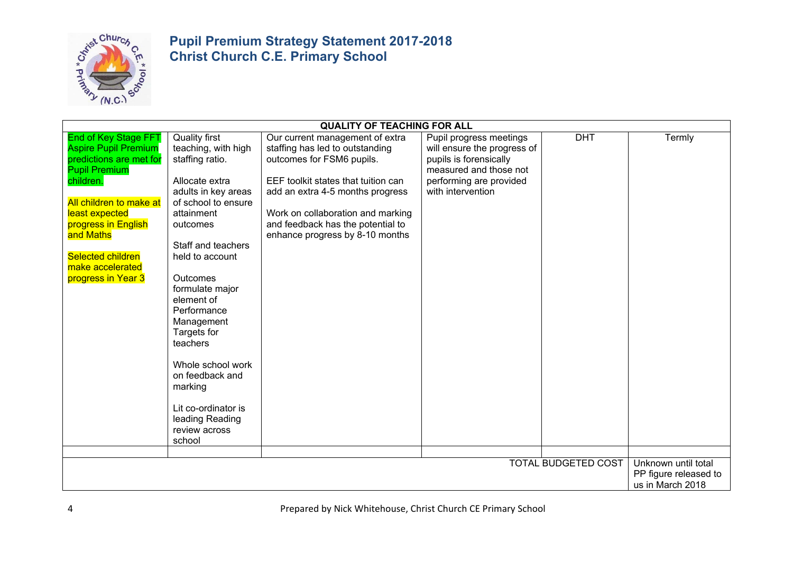

|                                                                                                                                                                                                                                                                                   | <b>QUALITY OF TEACHING FOR ALL</b>                                                                                                                                                                                                                                                                                                                                                                                                    |                                                                                                                                                                                                                                                                                         |                                                                                                                                                            |                            |                                                                  |  |  |  |  |
|-----------------------------------------------------------------------------------------------------------------------------------------------------------------------------------------------------------------------------------------------------------------------------------|---------------------------------------------------------------------------------------------------------------------------------------------------------------------------------------------------------------------------------------------------------------------------------------------------------------------------------------------------------------------------------------------------------------------------------------|-----------------------------------------------------------------------------------------------------------------------------------------------------------------------------------------------------------------------------------------------------------------------------------------|------------------------------------------------------------------------------------------------------------------------------------------------------------|----------------------------|------------------------------------------------------------------|--|--|--|--|
| <b>End of Key Stage FFT</b><br><b>Aspire Pupil Premium</b><br>predictions are met for<br><b>Pupil Premium</b><br>children.<br>All children to make at<br>least expected<br>progress in English<br>and Maths<br><b>Selected children</b><br>make accelerated<br>progress in Year 3 | <b>Quality first</b><br>teaching, with high<br>staffing ratio.<br>Allocate extra<br>adults in key areas<br>of school to ensure<br>attainment<br>outcomes<br>Staff and teachers<br>held to account<br><b>Outcomes</b><br>formulate major<br>element of<br>Performance<br>Management<br>Targets for<br>teachers<br>Whole school work<br>on feedback and<br>marking<br>Lit co-ordinator is<br>leading Reading<br>review across<br>school | Our current management of extra<br>staffing has led to outstanding<br>outcomes for FSM6 pupils.<br>EEF toolkit states that tuition can<br>add an extra 4-5 months progress<br>Work on collaboration and marking<br>and feedback has the potential to<br>enhance progress by 8-10 months | Pupil progress meetings<br>will ensure the progress of<br>pupils is forensically<br>measured and those not<br>performing are provided<br>with intervention | <b>DHT</b>                 | Termly                                                           |  |  |  |  |
|                                                                                                                                                                                                                                                                                   |                                                                                                                                                                                                                                                                                                                                                                                                                                       |                                                                                                                                                                                                                                                                                         |                                                                                                                                                            |                            |                                                                  |  |  |  |  |
|                                                                                                                                                                                                                                                                                   |                                                                                                                                                                                                                                                                                                                                                                                                                                       |                                                                                                                                                                                                                                                                                         |                                                                                                                                                            | <b>TOTAL BUDGETED COST</b> | Unknown until total<br>PP figure released to<br>us in March 2018 |  |  |  |  |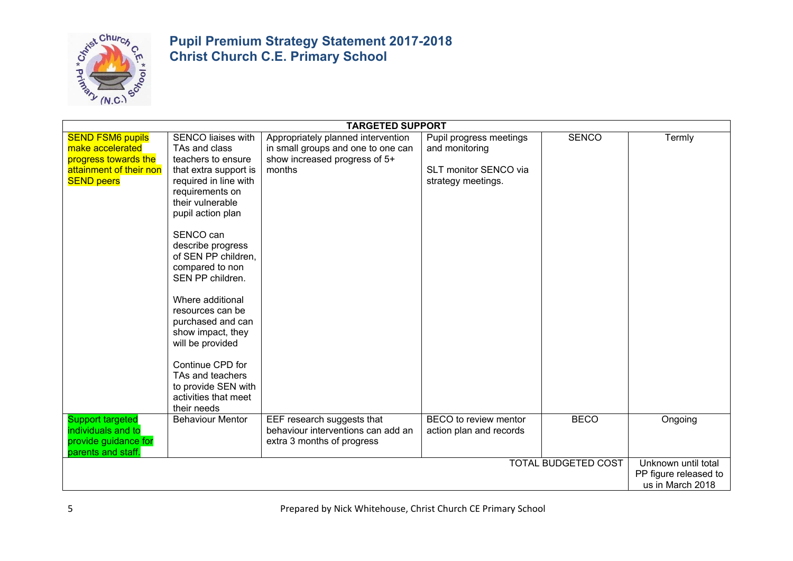

|                                                                                                                     | <b>TARGETED SUPPORT</b>                                                                                                                                                                                                                                                                                                                                                                                                                                                                    |                                                                                                                     |                                                                                          |                            |                                                                  |  |  |  |  |
|---------------------------------------------------------------------------------------------------------------------|--------------------------------------------------------------------------------------------------------------------------------------------------------------------------------------------------------------------------------------------------------------------------------------------------------------------------------------------------------------------------------------------------------------------------------------------------------------------------------------------|---------------------------------------------------------------------------------------------------------------------|------------------------------------------------------------------------------------------|----------------------------|------------------------------------------------------------------|--|--|--|--|
| <b>SEND FSM6 pupils</b><br>make accelerated<br>progress towards the<br>attainment of their non<br><b>SEND peers</b> | <b>SENCO liaises with</b><br>TAs and class<br>teachers to ensure<br>that extra support is<br>required in line with<br>requirements on<br>their vulnerable<br>pupil action plan<br>SENCO can<br>describe progress<br>of SEN PP children,<br>compared to non<br>SEN PP children.<br>Where additional<br>resources can be<br>purchased and can<br>show impact, they<br>will be provided<br>Continue CPD for<br>TAs and teachers<br>to provide SEN with<br>activities that meet<br>their needs | Appropriately planned intervention<br>in small groups and one to one can<br>show increased progress of 5+<br>months | Pupil progress meetings<br>and monitoring<br>SLT monitor SENCO via<br>strategy meetings. | <b>SENCO</b>               | Termly                                                           |  |  |  |  |
| <b>Support targeted</b><br>individuals and to<br>provide guidance for<br>parents and staff.                         | <b>Behaviour Mentor</b>                                                                                                                                                                                                                                                                                                                                                                                                                                                                    | EEF research suggests that<br>behaviour interventions can add an<br>extra 3 months of progress                      | BECO to review mentor<br>action plan and records                                         | <b>BECO</b>                | Ongoing                                                          |  |  |  |  |
|                                                                                                                     |                                                                                                                                                                                                                                                                                                                                                                                                                                                                                            |                                                                                                                     |                                                                                          | <b>TOTAL BUDGETED COST</b> | Unknown until total<br>PP figure released to<br>us in March 2018 |  |  |  |  |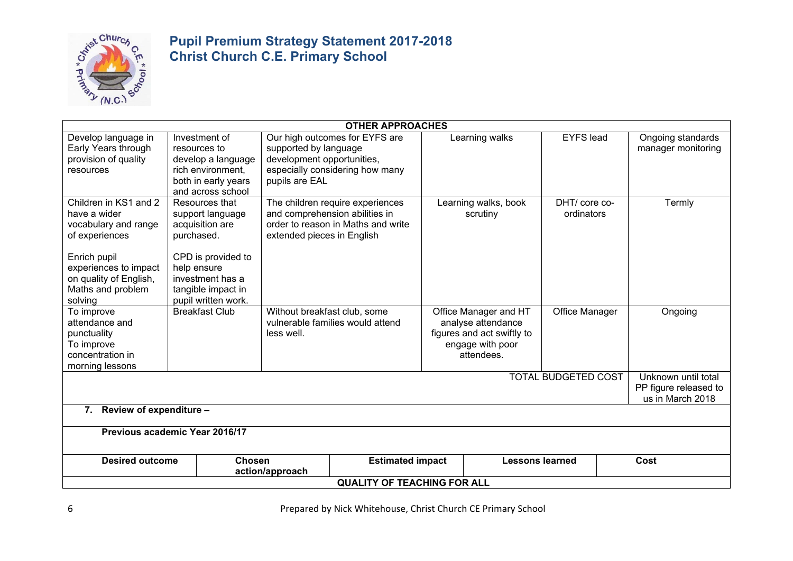

| <b>OTHER APPROACHES</b>                                                                                                                                                            |                                                                                                                                                                           |                                                                       |                                                                        |  |                                                                                                             |                            |  |                                         |  |  |
|------------------------------------------------------------------------------------------------------------------------------------------------------------------------------------|---------------------------------------------------------------------------------------------------------------------------------------------------------------------------|-----------------------------------------------------------------------|------------------------------------------------------------------------|--|-------------------------------------------------------------------------------------------------------------|----------------------------|--|-----------------------------------------|--|--|
| Develop language in<br>Early Years through<br>provision of quality<br>resources                                                                                                    | Investment of<br>resources to<br>develop a language<br>rich environment,<br>both in early years<br>and across school                                                      | supported by language<br>development opportunities,<br>pupils are EAL | Our high outcomes for EYFS are<br>especially considering how many      |  | Learning walks                                                                                              | <b>EYFS</b> lead           |  | Ongoing standards<br>manager monitoring |  |  |
| Children in KS1 and 2<br>have a wider<br>vocabulary and range<br>of experiences<br>Enrich pupil<br>experiences to impact<br>on quality of English,<br>Maths and problem<br>solving | Resources that<br>support language<br>acquisition are<br>purchased.<br>CPD is provided to<br>help ensure<br>investment has a<br>tangible impact in<br>pupil written work. | and comprehension abilities in<br>extended pieces in English          | The children require experiences<br>order to reason in Maths and write |  | Learning walks, book<br>scrutiny                                                                            | DHT/core co-<br>ordinators |  | Termly                                  |  |  |
| To improve<br>attendance and<br>punctuality<br>To improve<br>concentration in<br>morning lessons                                                                                   | <b>Breakfast Club</b>                                                                                                                                                     | Without breakfast club, some<br>less well.                            | vulnerable families would attend                                       |  | Office Manager and HT<br>analyse attendance<br>figures and act swiftly to<br>engage with poor<br>attendees. | Office Manager             |  | Ongoing                                 |  |  |
| <b>TOTAL BUDGETED COST</b><br>Unknown until total<br>PP figure released to<br>us in March 2018                                                                                     |                                                                                                                                                                           |                                                                       |                                                                        |  |                                                                                                             |                            |  |                                         |  |  |
| 7. Review of expenditure -                                                                                                                                                         |                                                                                                                                                                           |                                                                       |                                                                        |  |                                                                                                             |                            |  |                                         |  |  |
| Previous academic Year 2016/17                                                                                                                                                     |                                                                                                                                                                           |                                                                       |                                                                        |  |                                                                                                             |                            |  |                                         |  |  |
|                                                                                                                                                                                    | Chosen<br><b>Estimated impact</b><br><b>Lessons learned</b><br>Cost<br><b>Desired outcome</b><br>action/approach                                                          |                                                                       |                                                                        |  |                                                                                                             |                            |  |                                         |  |  |
| <b>QUALITY OF TEACHING FOR ALL</b>                                                                                                                                                 |                                                                                                                                                                           |                                                                       |                                                                        |  |                                                                                                             |                            |  |                                         |  |  |

6 Prepared by Nick Whitehouse, Christ Church CE Primary School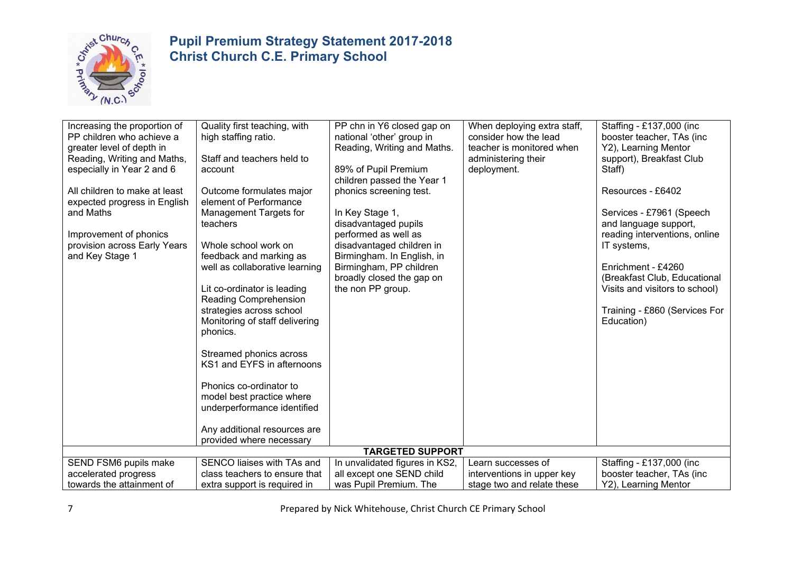

| Increasing the proportion of<br>PP children who achieve a<br>greater level of depth in<br>Reading, Writing and Maths,<br>especially in Year 2 and 6<br>All children to make at least<br>expected progress in English<br>and Maths<br>Improvement of phonics<br>provision across Early Years<br>and Key Stage 1 | Quality first teaching, with<br>high staffing ratio.<br>Staff and teachers held to<br>account<br>Outcome formulates major<br>element of Performance<br>Management Targets for<br>teachers<br>Whole school work on<br>feedback and marking as<br>well as collaborative learning<br>Lit co-ordinator is leading<br>Reading Comprehension<br>strategies across school<br>Monitoring of staff delivering<br>phonics.<br>Streamed phonics across<br>KS1 and EYFS in afternoons<br>Phonics co-ordinator to | PP chn in Y6 closed gap on<br>national 'other' group in<br>Reading, Writing and Maths.<br>89% of Pupil Premium<br>children passed the Year 1<br>phonics screening test.<br>In Key Stage 1,<br>disadvantaged pupils<br>performed as well as<br>disadvantaged children in<br>Birmingham. In English, in<br>Birmingham, PP children<br>broadly closed the gap on<br>the non PP group. | When deploying extra staff,<br>consider how the lead<br>teacher is monitored when<br>administering their<br>deployment. | Staffing - £137,000 (inc<br>booster teacher, TAs (inc.<br>Y2), Learning Mentor<br>support), Breakfast Club<br>Staff)<br>Resources - £6402<br>Services - £7961 (Speech<br>and language support,<br>reading interventions, online<br>IT systems,<br>Enrichment - £4260<br>(Breakfast Club, Educational<br>Visits and visitors to school)<br>Training - £860 (Services For<br>Education) |
|----------------------------------------------------------------------------------------------------------------------------------------------------------------------------------------------------------------------------------------------------------------------------------------------------------------|------------------------------------------------------------------------------------------------------------------------------------------------------------------------------------------------------------------------------------------------------------------------------------------------------------------------------------------------------------------------------------------------------------------------------------------------------------------------------------------------------|------------------------------------------------------------------------------------------------------------------------------------------------------------------------------------------------------------------------------------------------------------------------------------------------------------------------------------------------------------------------------------|-------------------------------------------------------------------------------------------------------------------------|---------------------------------------------------------------------------------------------------------------------------------------------------------------------------------------------------------------------------------------------------------------------------------------------------------------------------------------------------------------------------------------|
|                                                                                                                                                                                                                                                                                                                | model best practice where<br>underperformance identified                                                                                                                                                                                                                                                                                                                                                                                                                                             |                                                                                                                                                                                                                                                                                                                                                                                    |                                                                                                                         |                                                                                                                                                                                                                                                                                                                                                                                       |
|                                                                                                                                                                                                                                                                                                                | Any additional resources are                                                                                                                                                                                                                                                                                                                                                                                                                                                                         |                                                                                                                                                                                                                                                                                                                                                                                    |                                                                                                                         |                                                                                                                                                                                                                                                                                                                                                                                       |
|                                                                                                                                                                                                                                                                                                                | provided where necessary                                                                                                                                                                                                                                                                                                                                                                                                                                                                             |                                                                                                                                                                                                                                                                                                                                                                                    |                                                                                                                         |                                                                                                                                                                                                                                                                                                                                                                                       |
|                                                                                                                                                                                                                                                                                                                |                                                                                                                                                                                                                                                                                                                                                                                                                                                                                                      | <b>TARGETED SUPPORT</b>                                                                                                                                                                                                                                                                                                                                                            |                                                                                                                         |                                                                                                                                                                                                                                                                                                                                                                                       |
| SEND FSM6 pupils make                                                                                                                                                                                                                                                                                          | SENCO liaises with TAs and                                                                                                                                                                                                                                                                                                                                                                                                                                                                           | In unvalidated figures in KS2,                                                                                                                                                                                                                                                                                                                                                     | Learn successes of                                                                                                      | Staffing - £137,000 (inc                                                                                                                                                                                                                                                                                                                                                              |
| accelerated progress                                                                                                                                                                                                                                                                                           | class teachers to ensure that                                                                                                                                                                                                                                                                                                                                                                                                                                                                        | all except one SEND child                                                                                                                                                                                                                                                                                                                                                          | interventions in upper key                                                                                              | booster teacher, TAs (inc                                                                                                                                                                                                                                                                                                                                                             |
| towards the attainment of                                                                                                                                                                                                                                                                                      | extra support is required in                                                                                                                                                                                                                                                                                                                                                                                                                                                                         | was Pupil Premium. The                                                                                                                                                                                                                                                                                                                                                             | stage two and relate these                                                                                              | Y2), Learning Mentor                                                                                                                                                                                                                                                                                                                                                                  |

7 Prepared by Nick Whitehouse, Christ Church CE Primary School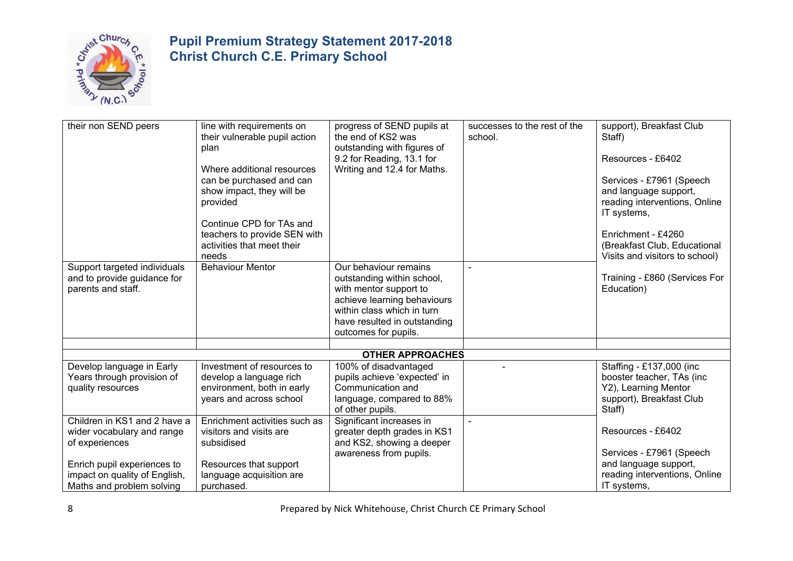

| their non SEND peers          | line with requirements on<br>their vulnerable pupil action | progress of SEND pupils at<br>the end of KS2 was | successes to the rest of the<br>school. | support), Breakfast Club<br>Staff) |
|-------------------------------|------------------------------------------------------------|--------------------------------------------------|-----------------------------------------|------------------------------------|
|                               |                                                            |                                                  |                                         |                                    |
|                               | plan                                                       | outstanding with figures of                      |                                         |                                    |
|                               |                                                            | 9.2 for Reading, 13.1 for                        |                                         | Resources - £6402                  |
|                               | Where additional resources                                 | Writing and 12.4 for Maths.                      |                                         |                                    |
|                               | can be purchased and can                                   |                                                  |                                         | Services - £7961 (Speech           |
|                               | show impact, they will be                                  |                                                  |                                         | and language support,              |
|                               | provided                                                   |                                                  |                                         | reading interventions, Online      |
|                               |                                                            |                                                  |                                         | IT systems,                        |
|                               | Continue CPD for TAs and                                   |                                                  |                                         |                                    |
|                               | teachers to provide SEN with                               |                                                  |                                         | Enrichment - £4260                 |
|                               | activities that meet their                                 |                                                  |                                         | (Breakfast Club, Educational       |
|                               | needs                                                      |                                                  |                                         | Visits and visitors to school)     |
| Support targeted individuals  | <b>Behaviour Mentor</b>                                    | Our behaviour remains                            | $\overline{a}$                          |                                    |
| and to provide guidance for   |                                                            | outstanding within school,                       |                                         | Training - £860 (Services For      |
| parents and staff.            |                                                            | with mentor support to                           |                                         | Education)                         |
|                               |                                                            | achieve learning behaviours                      |                                         |                                    |
|                               |                                                            | within class which in turn                       |                                         |                                    |
|                               |                                                            | have resulted in outstanding                     |                                         |                                    |
|                               |                                                            | outcomes for pupils.                             |                                         |                                    |
|                               |                                                            |                                                  |                                         |                                    |
|                               |                                                            | <b>OTHER APPROACHES</b>                          |                                         |                                    |
| Develop language in Early     | Investment of resources to                                 | 100% of disadvantaged                            |                                         | Staffing - £137,000 (inc           |
| Years through provision of    | develop a language rich                                    | pupils achieve 'expected' in                     |                                         | booster teacher, TAs (inc          |
| quality resources             | environment, both in early                                 | Communication and                                |                                         | Y2), Learning Mentor               |
|                               | years and across school                                    | language, compared to 88%                        |                                         | support), Breakfast Club           |
|                               |                                                            | of other pupils.                                 |                                         | Staff)                             |
| Children in KS1 and 2 have a  | Enrichment activities such as                              | Significant increases in                         | $\blacksquare$                          |                                    |
| wider vocabulary and range    | visitors and visits are                                    | greater depth grades in KS1                      |                                         | Resources - £6402                  |
| of experiences                | subsidised                                                 | and KS2, showing a deeper                        |                                         |                                    |
|                               |                                                            | awareness from pupils.                           |                                         | Services - £7961 (Speech           |
| Enrich pupil experiences to   | Resources that support                                     |                                                  |                                         | and language support,              |
| impact on quality of English, | language acquisition are                                   |                                                  |                                         | reading interventions, Online      |
| Maths and problem solving     | purchased.                                                 |                                                  |                                         | IT systems,                        |
|                               |                                                            |                                                  |                                         |                                    |